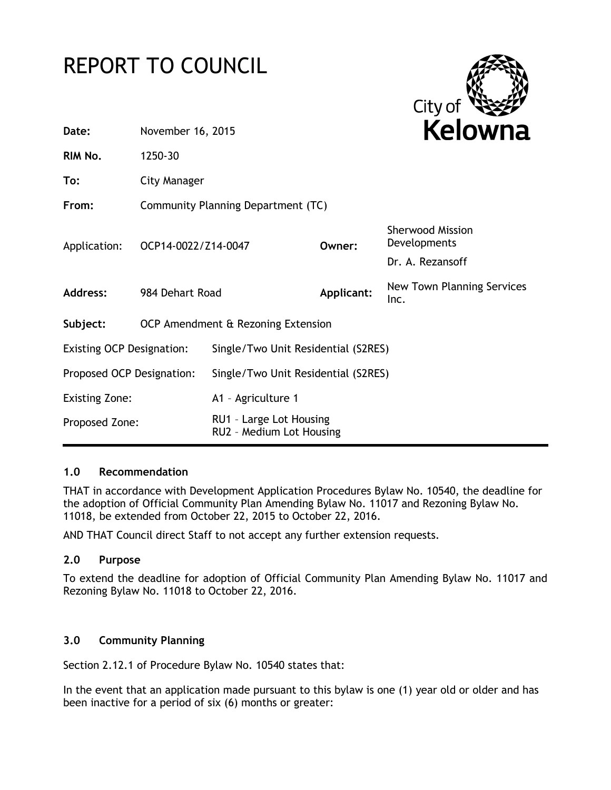## REPORT TO COUNCIL



| Date:                            | November 16, 2015                  |                                                     |            | <b>Kelowna</b>                                              |
|----------------------------------|------------------------------------|-----------------------------------------------------|------------|-------------------------------------------------------------|
| RIM No.                          | 1250-30                            |                                                     |            |                                                             |
| To:                              | City Manager                       |                                                     |            |                                                             |
| From:                            | Community Planning Department (TC) |                                                     |            |                                                             |
| Application:                     | OCP14-0022/Z14-0047                |                                                     | Owner:     | <b>Sherwood Mission</b><br>Developments<br>Dr. A. Rezansoff |
| <b>Address:</b>                  | 984 Dehart Road                    |                                                     | Applicant: | New Town Planning Services<br>Inc.                          |
| Subject:                         | OCP Amendment & Rezoning Extension |                                                     |            |                                                             |
| <b>Existing OCP Designation:</b> |                                    | Single/Two Unit Residential (S2RES)                 |            |                                                             |
| Proposed OCP Designation:        |                                    | Single/Two Unit Residential (S2RES)                 |            |                                                             |
| <b>Existing Zone:</b>            |                                    | A1 - Agriculture 1                                  |            |                                                             |
| Proposed Zone:                   |                                    | RU1 - Large Lot Housing<br>RU2 - Medium Lot Housing |            |                                                             |
|                                  |                                    |                                                     |            |                                                             |

## **1.0 Recommendation**

THAT in accordance with Development Application Procedures Bylaw No. 10540, the deadline for the adoption of Official Community Plan Amending Bylaw No. 11017 and Rezoning Bylaw No. 11018, be extended from October 22, 2015 to October 22, 2016.

AND THAT Council direct Staff to not accept any further extension requests.

## **2.0 Purpose**

To extend the deadline for adoption of Official Community Plan Amending Bylaw No. 11017 and Rezoning Bylaw No. 11018 to October 22, 2016.

## **3.0 Community Planning**

Section 2.12.1 of Procedure Bylaw No. 10540 states that:

In the event that an application made pursuant to this bylaw is one (1) year old or older and has been inactive for a period of six (6) months or greater: